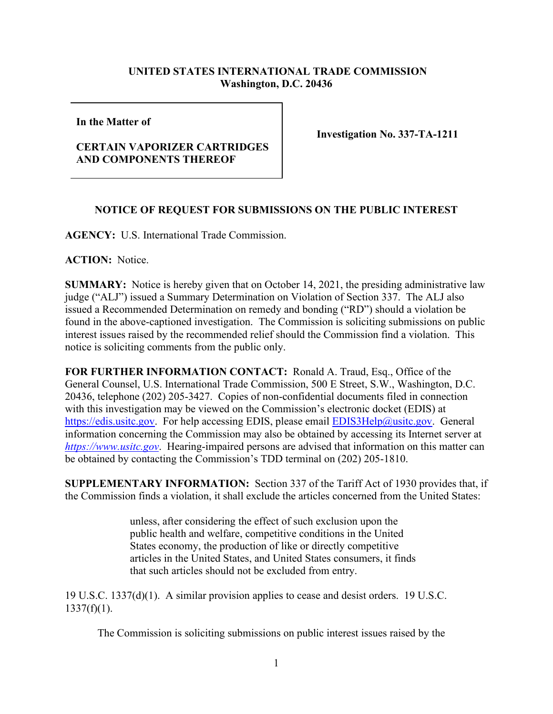## **UNITED STATES INTERNATIONAL TRADE COMMISSION Washington, D.C. 20436**

**In the Matter of** 

## **CERTAIN VAPORIZER CARTRIDGES AND COMPONENTS THEREOF**

**Investigation No. 337-TA-1211**

## **NOTICE OF REQUEST FOR SUBMISSIONS ON THE PUBLIC INTEREST**

**AGENCY:** U.S. International Trade Commission.

**ACTION:** Notice.

**SUMMARY:** Notice is hereby given that on October 14, 2021, the presiding administrative law judge ("ALJ") issued a Summary Determination on Violation of Section 337. The ALJ also issued a Recommended Determination on remedy and bonding ("RD") should a violation be found in the above-captioned investigation. The Commission is soliciting submissions on public interest issues raised by the recommended relief should the Commission find a violation. This notice is soliciting comments from the public only.

**FOR FURTHER INFORMATION CONTACT:** Ronald A. Traud, Esq., Office of the General Counsel, U.S. International Trade Commission, 500 E Street, S.W., Washington, D.C. 20436, telephone (202) 205-3427. Copies of non-confidential documents filed in connection with this investigation may be viewed on the Commission's electronic docket (EDIS) at [https://edis.usitc.gov.](https://edis.usitc.gov/) For help accessing EDIS, please email [EDIS3Help@usitc.gov.](mailto:EDIS3Help@usitc.gov) General information concerning the Commission may also be obtained by accessing its Internet server at *[https://www.usitc.gov](https://www.usitc.gov/)*. Hearing-impaired persons are advised that information on this matter can be obtained by contacting the Commission's TDD terminal on (202) 205-1810.

**SUPPLEMENTARY INFORMATION:** Section 337 of the Tariff Act of 1930 provides that, if the Commission finds a violation, it shall exclude the articles concerned from the United States:

> unless, after considering the effect of such exclusion upon the public health and welfare, competitive conditions in the United States economy, the production of like or directly competitive articles in the United States, and United States consumers, it finds that such articles should not be excluded from entry.

19 U.S.C. 1337(d)(1). A similar provision applies to cease and desist orders. 19 U.S.C.  $1337(f)(1)$ .

The Commission is soliciting submissions on public interest issues raised by the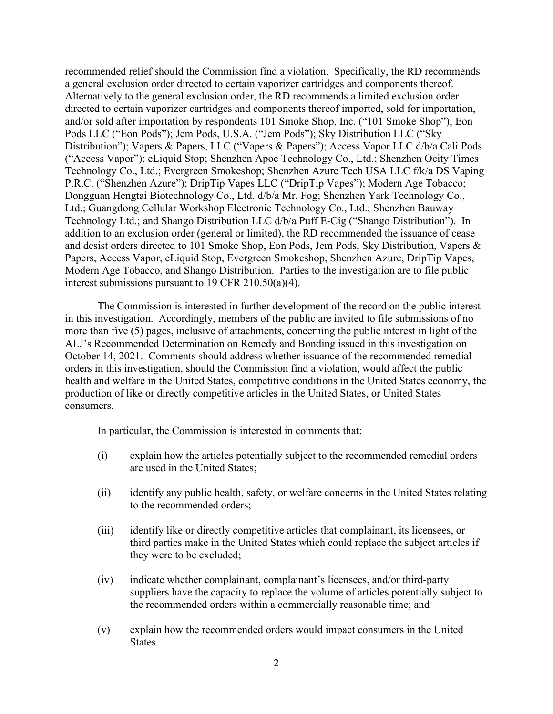recommended relief should the Commission find a violation. Specifically, the RD recommends a general exclusion order directed to certain vaporizer cartridges and components thereof. Alternatively to the general exclusion order, the RD recommends a limited exclusion order directed to certain vaporizer cartridges and components thereof imported, sold for importation, and/or sold after importation by respondents 101 Smoke Shop, Inc. ("101 Smoke Shop"); Eon Pods LLC ("Eon Pods"); Jem Pods, U.S.A. ("Jem Pods"); Sky Distribution LLC ("Sky Distribution"); Vapers & Papers, LLC ("Vapers & Papers"); Access Vapor LLC d/b/a Cali Pods ("Access Vapor"); eLiquid Stop; Shenzhen Apoc Technology Co., Ltd.; Shenzhen Ocity Times Technology Co., Ltd.; Evergreen Smokeshop; Shenzhen Azure Tech USA LLC f/k/a DS Vaping P.R.C. ("Shenzhen Azure"); DripTip Vapes LLC ("DripTip Vapes"); Modern Age Tobacco; Dongguan Hengtai Biotechnology Co., Ltd. d/b/a Mr. Fog; Shenzhen Yark Technology Co., Ltd.; Guangdong Cellular Workshop Electronic Technology Co., Ltd.; Shenzhen Bauway Technology Ltd.; and Shango Distribution LLC d/b/a Puff E-Cig ("Shango Distribution"). In addition to an exclusion order (general or limited), the RD recommended the issuance of cease and desist orders directed to 101 Smoke Shop, Eon Pods, Jem Pods, Sky Distribution, Vapers & Papers, Access Vapor, eLiquid Stop, Evergreen Smokeshop, Shenzhen Azure, DripTip Vapes, Modern Age Tobacco, and Shango Distribution. Parties to the investigation are to file public interest submissions pursuant to 19 CFR 210.50(a)(4).

The Commission is interested in further development of the record on the public interest in this investigation. Accordingly, members of the public are invited to file submissions of no more than five (5) pages, inclusive of attachments, concerning the public interest in light of the ALJ's Recommended Determination on Remedy and Bonding issued in this investigation on October 14, 2021.Comments should address whether issuance of the recommended remedial orders in this investigation, should the Commission find a violation, would affect the public health and welfare in the United States, competitive conditions in the United States economy, the production of like or directly competitive articles in the United States, or United States consumers.

In particular, the Commission is interested in comments that:

- (i) explain how the articles potentially subject to the recommended remedial orders are used in the United States;
- (ii) identify any public health, safety, or welfare concerns in the United States relating to the recommended orders;
- (iii) identify like or directly competitive articles that complainant, its licensees, or third parties make in the United States which could replace the subject articles if they were to be excluded;
- (iv) indicate whether complainant, complainant's licensees, and/or third-party suppliers have the capacity to replace the volume of articles potentially subject to the recommended orders within a commercially reasonable time; and
- (v) explain how the recommended orders would impact consumers in the United States.